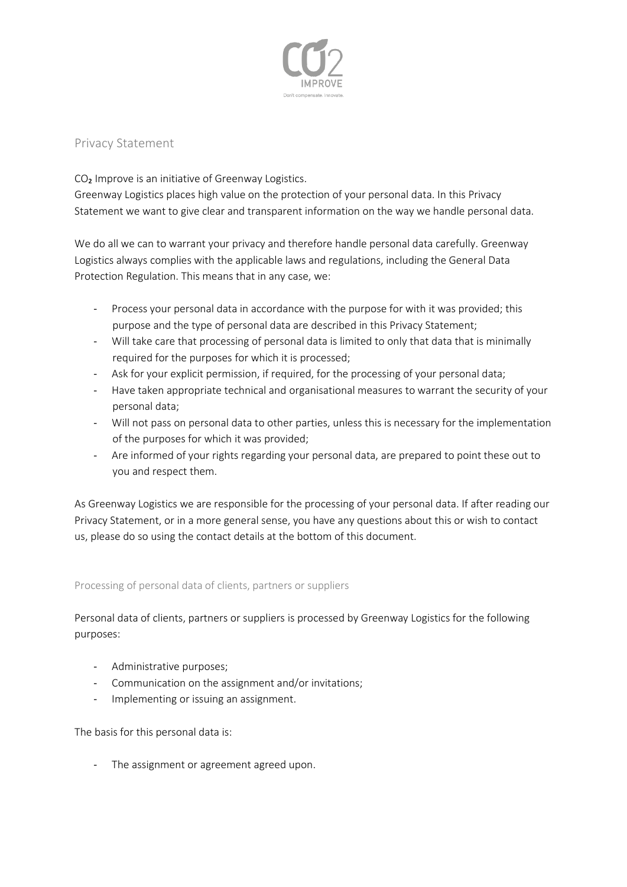

# Privacy Statement

CO<sub>2</sub> Improve is an initiative of Greenway Logistics. Greenway Logistics places high value on the protection of your personal data. In this Privacy Statement we want to give clear and transparent information on the way we handle personal data.

We do all we can to warrant your privacy and therefore handle personal data carefully. Greenway Logistics always complies with the applicable laws and regulations, including the General Data Protection Regulation. This means that in any case, we:

- Process your personal data in accordance with the purpose for with it was provided; this purpose and the type of personal data are described in this Privacy Statement;
- Will take care that processing of personal data is limited to only that data that is minimally required for the purposes for which it is processed;
- Ask for your explicit permission, if required, for the processing of your personal data;
- Have taken appropriate technical and organisational measures to warrant the security of your personal data;
- Will not pass on personal data to other parties, unless this is necessary for the implementation of the purposes for which it was provided;
- Are informed of your rights regarding your personal data, are prepared to point these out to you and respect them.

As Greenway Logistics we are responsible for the processing of your personal data. If after reading our Privacy Statement, or in a more general sense, you have any questions about this or wish to contact us, please do so using the contact details at the bottom of this document.

# Processing of personal data of clients, partners or suppliers

Personal data of clients, partners or suppliers is processed by Greenway Logistics for the following purposes:

- Administrative purposes;
- Communication on the assignment and/or invitations;
- Implementing or issuing an assignment.

The basis for this personal data is:

- The assignment or agreement agreed upon.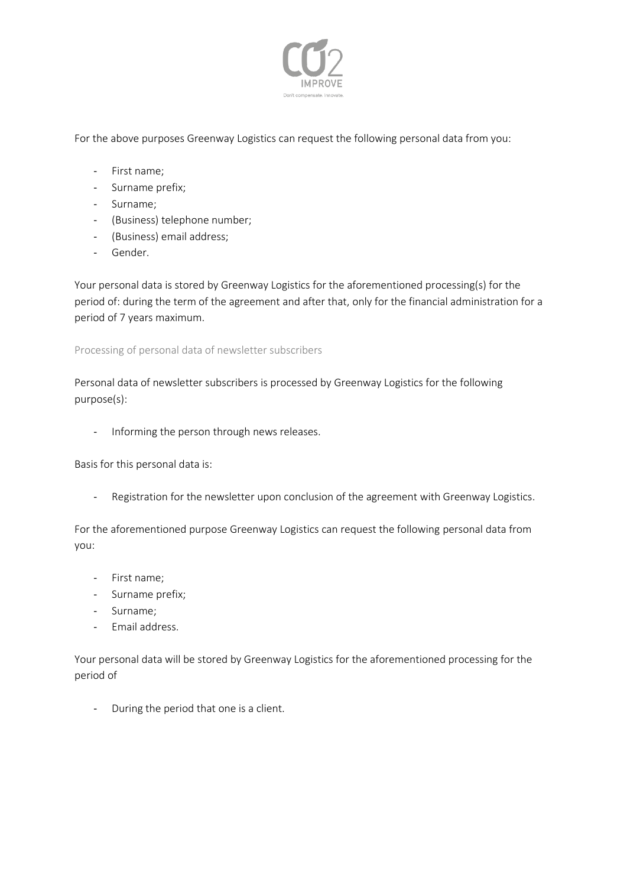

For the above purposes Greenway Logistics can request the following personal data from you:

- First name;
- Surname prefix;
- Surname;
- (Business) telephone number;
- (Business) email address;
- Gender.

Your personal data is stored by Greenway Logistics for the aforementioned processing(s) for the period of: during the term of the agreement and after that, only for the financial administration for a period of 7 years maximum.

Processing of personal data of newsletter subscribers

Personal data of newsletter subscribers is processed by Greenway Logistics for the following purpose(s):

- Informing the person through news releases.

Basis for this personal data is:

- Registration for the newsletter upon conclusion of the agreement with Greenway Logistics.

For the aforementioned purpose Greenway Logistics can request the following personal data from you:

- First name;
- Surname prefix;
- Surname;
- Email address.

Your personal data will be stored by Greenway Logistics for the aforementioned processing for the period of

- During the period that one is a client.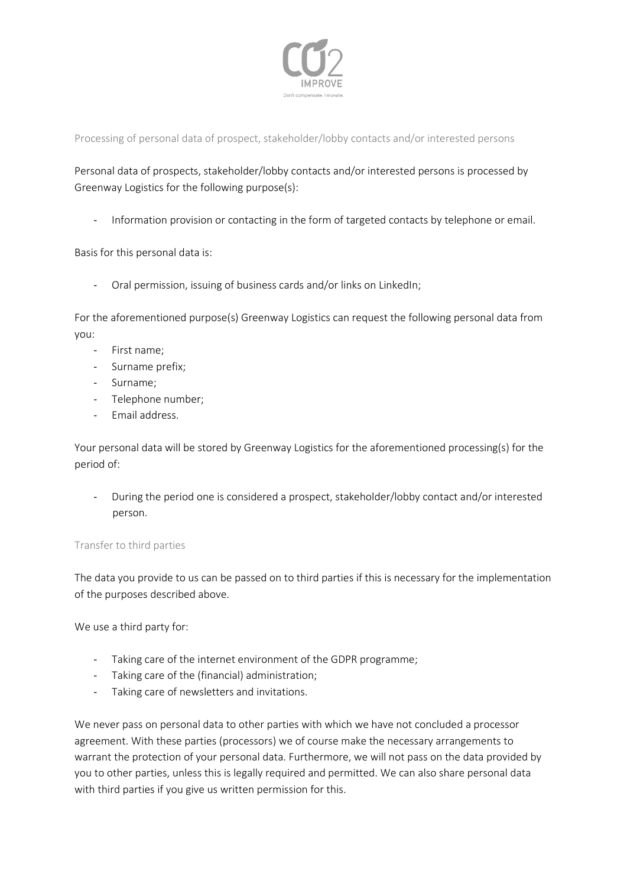

Processing of personal data of prospect, stakeholder/lobby contacts and/or interested persons

Personal data of prospects, stakeholder/lobby contacts and/or interested persons is processed by Greenway Logistics for the following purpose(s):

- Information provision or contacting in the form of targeted contacts by telephone or email.

Basis for this personal data is:

- Oral permission, issuing of business cards and/or links on LinkedIn;

For the aforementioned purpose(s) Greenway Logistics can request the following personal data from you:

- First name;
- Surname prefix;
- Surname;
- Telephone number;
- Email address.

Your personal data will be stored by Greenway Logistics for the aforementioned processing(s) for the period of:

- During the period one is considered a prospect, stakeholder/lobby contact and/or interested person.

# Transfer to third parties

The data you provide to us can be passed on to third parties if this is necessary for the implementation of the purposes described above.

We use a third party for:

- Taking care of the internet environment of the GDPR programme;
- Taking care of the (financial) administration;
- Taking care of newsletters and invitations.

We never pass on personal data to other parties with which we have not concluded a processor agreement. With these parties (processors) we of course make the necessary arrangements to warrant the protection of your personal data. Furthermore, we will not pass on the data provided by you to other parties, unless this is legally required and permitted. We can also share personal data with third parties if you give us written permission for this.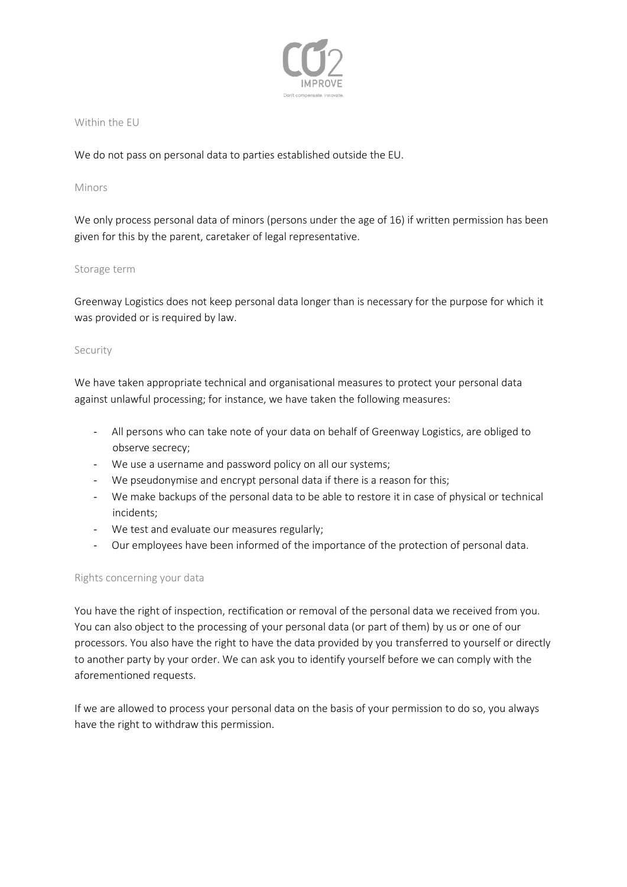

#### Within the EU

We do not pass on personal data to parties established outside the EU.

## Minors

We only process personal data of minors (persons under the age of 16) if written permission has been given for this by the parent, caretaker of legal representative.

## Storage term

Greenway Logistics does not keep personal data longer than is necessary for the purpose for which it was provided or is required by law.

## Security

We have taken appropriate technical and organisational measures to protect your personal data against unlawful processing; for instance, we have taken the following measures:

- All persons who can take note of your data on behalf of Greenway Logistics, are obliged to observe secrecy;
- We use a username and password policy on all our systems;
- We pseudonymise and encrypt personal data if there is a reason for this;
- We make backups of the personal data to be able to restore it in case of physical or technical incidents;
- We test and evaluate our measures regularly;
- Our employees have been informed of the importance of the protection of personal data.

# Rights concerning your data

You have the right of inspection, rectification or removal of the personal data we received from you. You can also object to the processing of your personal data (or part of them) by us or one of our processors. You also have the right to have the data provided by you transferred to yourself or directly to another party by your order. We can ask you to identify yourself before we can comply with the aforementioned requests.

If we are allowed to process your personal data on the basis of your permission to do so, you always have the right to withdraw this permission.